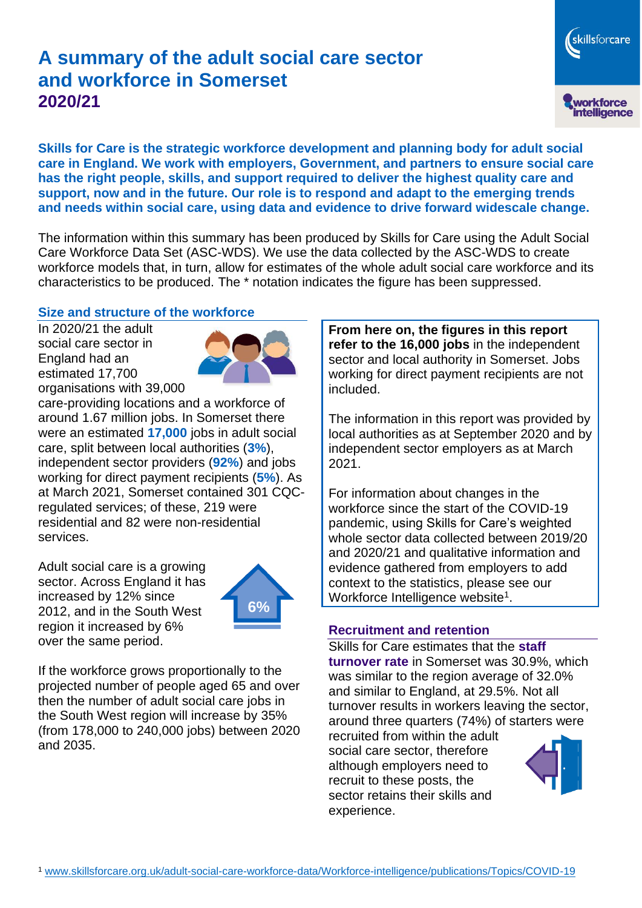# **A summary of the adult social care sector and workforce in Somerset 2020/21**

workforce<br>intelligence

skillsforcare

**Skills for Care is the strategic workforce development and planning body for adult social care in England. We work with employers, Government, and partners to ensure social care has the right people, skills, and support required to deliver the highest quality care and support, now and in the future. Our role is to respond and adapt to the emerging trends and needs within social care, using data and evidence to drive forward widescale change.**

The information within this summary has been produced by Skills for Care using the Adult Social Care Workforce Data Set (ASC-WDS). We use the data collected by the ASC-WDS to create workforce models that, in turn, allow for estimates of the whole adult social care workforce and its characteristics to be produced. The \* notation indicates the figure has been suppressed.

#### **Size and structure of the workforce**

In 2020/21 the adult social care sector in England had an estimated 17,700 organisations with 39,000



care-providing locations and a workforce of around 1.67 million jobs. In Somerset there were an estimated **17,000** jobs in adult social care, split between local authorities (**3%**), independent sector providers (**92%**) and jobs working for direct payment recipients (**5%**). As at March 2021, Somerset contained 301 CQCregulated services; of these, 219 were residential and 82 were non-residential services.

Adult social care is a growing sector. Across England it has increased by 12% since 2012, and in the South West region it increased by 6% over the same period.



If the workforce grows proportionally to the projected number of people aged 65 and over then the number of adult social care jobs in the South West region will increase by 35% (from 178,000 to 240,000 jobs) between 2020 and 2035.

**From here on, the figures in this report refer to the 16,000 jobs** in the independent sector and local authority in Somerset. Jobs working for direct payment recipients are not included.

The information in this report was provided by local authorities as at September 2020 and by independent sector employers as at March 2021.

For information about changes in the workforce since the start of the COVID-19 pandemic, using Skills for Care's weighted whole sector data collected between 2019/20 and 2020/21 and qualitative information and evidence gathered from employers to add context to the statistics, please see our Workforce Intelligence website<sup>1</sup>.

#### **Recruitment and retention**

Skills for Care estimates that the **staff turnover rate** in Somerset was 30.9%, which was similar to the region average of 32.0% and similar to England, at 29.5%. Not all turnover results in workers leaving the sector, around three quarters (74%) of starters were

recruited from within the adult social care sector, therefore although employers need to recruit to these posts, the sector retains their skills and experience.

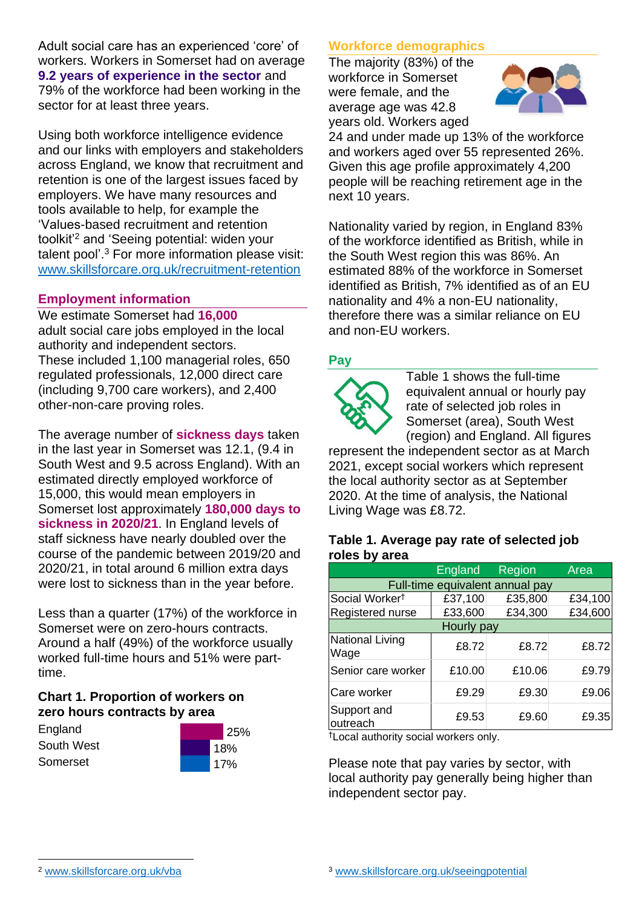Adult social care has an experienced 'core' of workers. Workers in Somerset had on average **9.2 years of experience in the sector** and 79% of the workforce had been working in the sector for at least three years.

Using both workforce intelligence evidence and our links with employers and stakeholders across England, we know that recruitment and retention is one of the largest issues faced by employers. We have many resources and tools available to help, for example the 'Values-based recruitment and retention toolkit'<sup>2</sup> and 'Seeing potential: widen your talent pool'. <sup>3</sup> For more information please visit: [www.skillsforcare.org.uk/recruitment-retention](http://www.skillsforcare.org.uk/recruitment-retention)

#### **Employment information**

We estimate Somerset had **16,000** adult social care jobs employed in the local authority and independent sectors. These included 1,100 managerial roles, 650 regulated professionals, 12,000 direct care (including 9,700 care workers), and 2,400 other-non-care proving roles.

The average number of **sickness days** taken in the last year in Somerset was 12.1, (9.4 in South West and 9.5 across England). With an estimated directly employed workforce of 15,000, this would mean employers in Somerset lost approximately **180,000 days to sickness in 2020/21**. In England levels of staff sickness have nearly doubled over the course of the pandemic between 2019/20 and 2020/21, in total around 6 million extra days were lost to sickness than in the year before.

Less than a quarter (17%) of the workforce in Somerset were on zero-hours contracts. Around a half (49%) of the workforce usually worked full-time hours and 51% were parttime.

### **Chart 1. Proportion of workers on zero hours contracts by area**

**England** South West Somerset



### **Workforce demographics**

The majority (83%) of the workforce in Somerset were female, and the average age was 42.8 years old. Workers aged



24 and under made up 13% of the workforce and workers aged over 55 represented 26%. Given this age profile approximately 4,200 people will be reaching retirement age in the next 10 years.

Nationality varied by region, in England 83% of the workforce identified as British, while in the South West region this was 86%. An estimated 88% of the workforce in Somerset identified as British, 7% identified as of an EU nationality and 4% a non-EU nationality, therefore there was a similar reliance on EU and non-EU workers.

### **Pay**



Table 1 shows the full-time equivalent annual or hourly pay rate of selected job roles in Somerset (area), South West (region) and England. All figures

represent the independent sector as at March 2021, except social workers which represent the local authority sector as at September 2020. At the time of analysis, the National Living Wage was £8.72.

#### **Table 1. Average pay rate of selected job roles by area**

|                                 | <b>England</b> | Region  | Area    |
|---------------------------------|----------------|---------|---------|
| Full-time equivalent annual pay |                |         |         |
| Social Worker <sup>t</sup>      | £37,100        | £35,800 | £34,100 |
| Registered nurse                | £33,600        | £34,300 | £34,600 |
| Hourly pay                      |                |         |         |
| National Living<br>Wage         | £8.72          | £8.72   | £8.72   |
| Senior care worker              | £10.00         | £10.06  | £9.79   |
| Care worker                     | £9.29          | £9.30   | £9.06   |
| Support and<br>outreach         | £9.53          | £9.60   | £9.35   |

†Local authority social workers only.

Please note that pay varies by sector, with local authority pay generally being higher than independent sector pay.